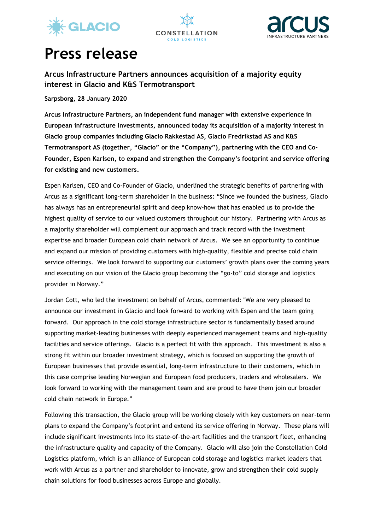





# **Press release**

**Arcus Infrastructure Partners announces acquisition of a majority equity interest in Glacio and K&S Termotransport**

**Sarpsborg, 28 January 2020**

**Arcus Infrastructure Partners, an independent fund manager with extensive experience in European infrastructure investments, announced today its acquisition of a majority interest in Glacio group companies including Glacio Rakkestad AS, Glacio Fredrikstad AS and K&S Termotransport AS (together, "Glacio" or the "Company"), partnering with the CEO and Co-Founder, Espen Karlsen, to expand and strengthen the Company's footprint and service offering for existing and new customers.**

Espen Karlsen, CEO and Co-Founder of Glacio, underlined the strategic benefits of partnering with Arcus as a significant long-term shareholder in the business: "Since we founded the business, Glacio has always has an entrepreneurial spirit and deep know-how that has enabled us to provide the highest quality of service to our valued customers throughout our history. Partnering with Arcus as a majority shareholder will complement our approach and track record with the investment expertise and broader European cold chain network of Arcus. We see an opportunity to continue and expand our mission of providing customers with high-quality, flexible and precise cold chain service offerings. We look forward to supporting our customers' growth plans over the coming years and executing on our vision of the Glacio group becoming the "go-to" cold storage and logistics provider in Norway."

Jordan Cott, who led the investment on behalf of Arcus, commented: "We are very pleased to announce our investment in Glacio and look forward to working with Espen and the team going forward. Our approach in the cold storage infrastructure sector is fundamentally based around supporting market-leading businesses with deeply experienced management teams and high-quality facilities and service offerings. Glacio is a perfect fit with this approach. This investment is also a strong fit within our broader investment strategy, which is focused on supporting the growth of European businesses that provide essential, long-term infrastructure to their customers, which in this case comprise leading Norwegian and European food producers, traders and wholesalers. We look forward to working with the management team and are proud to have them join our broader cold chain network in Europe."

Following this transaction, the Glacio group will be working closely with key customers on near-term plans to expand the Company's footprint and extend its service offering in Norway. These plans will include significant investments into its state-of-the-art facilities and the transport fleet, enhancing the infrastructure quality and capacity of the Company. Glacio will also join the Constellation Cold Logistics platform, which is an alliance of European cold storage and logistics market leaders that work with Arcus as a partner and shareholder to innovate, grow and strengthen their cold supply chain solutions for food businesses across Europe and globally.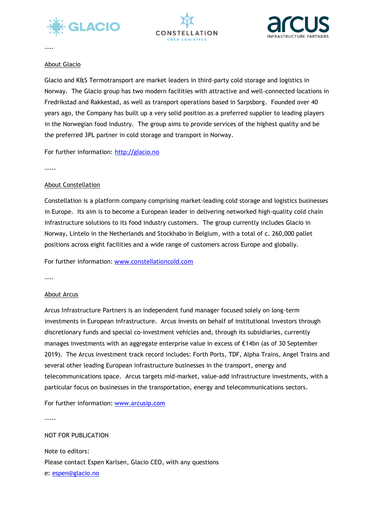





----

#### About Glacio

Glacio and K&S Termotransport are market leaders in third-party cold storage and logistics in Norway. The Glacio group has two modern facilities with attractive and well-connected locations in Fredrikstad and Rakkestad, as well as transport operations based in Sarpsborg. Founded over 40 years ago, the Company has built up a very solid position as a preferred supplier to leading players in the Norwegian food industry. The group aims to provide services of the highest quality and be the preferred 3PL partner in cold storage and transport in Norway.

For further information: [http://glacio.no](http://glacio.no/)

-----

## About Constellation

Constellation is a platform company comprising market-leading cold storage and logistics businesses in Europe. Its aim is to become a European leader in delivering networked high-quality cold chain infrastructure solutions to its food industry customers. The group currently includes Glacio in Norway, Lintelo in the Netherlands and Stockhabo in Belgium, with a total of c. 260,000 pallet positions across eight facilities and a wide range of customers across Europe and globally.

For further information: [www.constellationcold.com](http://www.constellationcold.com/)

----

## About Arcus

Arcus Infrastructure Partners is an independent fund manager focused solely on long-term investments in European infrastructure. Arcus invests on behalf of institutional investors through discretionary funds and special co-investment vehicles and, through its subsidiaries, currently manages investments with an aggregate enterprise value in excess of €14bn (as of 30 September 2019). The Arcus investment track record includes: Forth Ports, TDF, Alpha Trains, Angel Trains and several other leading European infrastructure businesses in the transport, energy and telecommunications space. Arcus targets mid-market, value-add infrastructure investments, with a particular focus on businesses in the transportation, energy and telecommunications sectors.

For further information: [www.arcusip.com](http://www.arcusip.com/)

-----

## NOT FOR PUBLICATION

Note to editors: Please contact Espen Karlsen, Glacio CEO, with any questions e: [espen@glacio.no](mailto:espen@glacio.no)